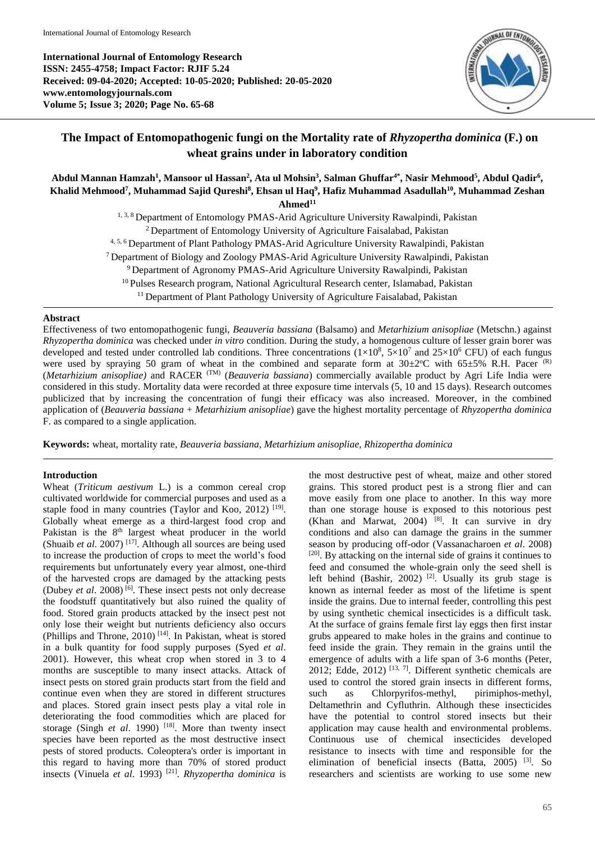**International Journal of Entomology Research ISSN: 2455-4758; Impact Factor: RJIF 5.24 Received: 09-04-2020; Accepted: 10-05-2020; Published: 20-05-2020 www.entomologyjournals.com Volume 5; Issue 3; 2020; Page No. 65-68**



# **The Impact of Entomopathogenic fungi on the Mortality rate of** *Rhyzopertha dominica* **(F.) on wheat grains under in laboratory condition**

# Abdul Mannan Hamzah<sup>1</sup>, Mansoor ul Hassan<sup>2</sup>, Ata ul Mohsin<sup>3</sup>, Salman Ghuffar<sup>4\*</sup>, Nasir Mehmood<sup>5</sup>, Abdul Qadir<sup>6</sup>, **Khalid Mehmood<sup>7</sup> , Muhammad Sajid Qureshi<sup>8</sup> , Ehsan ul Haq<sup>9</sup> , Hafiz Muhammad Asadullah<sup>10</sup> , Muhammad Zeshan Ahmed<sup>11</sup>**

<sup>1, 3, 8</sup> Department of Entomology PMAS-Arid Agriculture University Rawalpindi, Pakistan <sup>2</sup> Department of Entomology University of Agriculture Faisalabad, Pakistan 4, 5, 6 Department of Plant Pathology PMAS-Arid Agriculture University Rawalpindi, Pakistan <sup>7</sup> Department of Biology and Zoology PMAS-Arid Agriculture University Rawalpindi, Pakistan <sup>9</sup> Department of Agronomy PMAS-Arid Agriculture University Rawalpindi, Pakistan <sup>10</sup> Pulses Research program, National Agricultural Research center, Islamabad, Pakistan <sup>11</sup> Department of Plant Pathology University of Agriculture Faisalabad, Pakistan

## **Abstract**

Effectiveness of two entomopathogenic fungi, *Beauveria bassiana* (Balsamo) and *Metarhizium anisopliae* (Metschn.) against *Rhyzopertha dominica* was checked under *in vitro* condition. During the study, a homogenous culture of lesser grain borer was developed and tested under controlled lab conditions. Three concentrations  $(1\times10^8, 5\times10^7$  and  $25\times10^6$  CFU) of each fungus were used by spraying 50 gram of wheat in the combined and separate form at  $30\pm2^{\circ}$ C with 65 $\pm$ 5% R.H. Pacer (R) (*Metarhizium anisopliae)* and RACER (TM) (*Beauveria bassiana*) commercially available product by Agri Life India were considered in this study. Mortality data were recorded at three exposure time intervals (5, 10 and 15 days). Research outcomes publicized that by increasing the concentration of fungi their efficacy was also increased. Moreover, in the combined application of (*Beauveria bassiana* + *Metarhizium anisopliae*) gave the highest mortality percentage of *Rhyzopertha dominica* F. as compared to a single application.

**Keywords:** wheat, mortality rate*, Beauveria bassiana, Metarhizium anisopliae, Rhizopertha dominica*

# **Introduction**

Wheat (*Triticum aestivum* L.) is a common cereal crop cultivated worldwide for commercial purposes and used as a staple food in many countries (Taylor and Koo, 2012)<sup>[19]</sup>. Globally wheat emerge as a third-largest food crop and Pakistan is the 8<sup>th</sup> largest wheat producer in the world (Shuaib *et al*. 2007) [17] . Although all sources are being used to increase the production of crops to meet the world's food requirements but unfortunately every year almost, one-third of the harvested crops are damaged by the attacking pests (Dubey *et al.* 2008)<sup>[6]</sup>. These insect pests not only decrease the foodstuff quantitatively but also ruined the quality of food. Stored grain products attacked by the insect pest not only lose their weight but nutrients deficiency also occurs (Phillips and Throne, 2010) [14] . In Pakistan, wheat is stored in a bulk quantity for food supply purposes (Syed *et al*. 2001). However, this wheat crop when stored in 3 to 4 months are susceptible to many insect attacks. Attack of insect pests on stored grain products start from the field and continue even when they are stored in different structures and places. Stored grain insect pests play a vital role in deteriorating the food commodities which are placed for storage (Singh *et al.* 1990)<sup>[18]</sup>. More than twenty insect species have been reported as the most destructive insect pests of stored products. Coleoptera's order is important in this regard to having more than 70% of stored product insects (Vinuela *et al*. 1993) [21] . *Rhyzopertha dominica* is

the most destructive pest of wheat, maize and other stored grains. This stored product pest is a strong flier and can move easily from one place to another. In this way more than one storage house is exposed to this notorious pest (Khan and Marwat, 2004)  $[8]$ . It can survive in dry conditions and also can damage the grains in the summer season by producing off-odor (Vassanacharoen *et al*. 2008)  $[20]$ . By attacking on the internal side of grains it continues to feed and consumed the whole-grain only the seed shell is left behind (Bashir, 2002)<sup>[2]</sup>. Usually its grub stage is known as internal feeder as most of the lifetime is spent inside the grains. Due to internal feeder, controlling this pest by using synthetic chemical insecticides is a difficult task. At the surface of grains female first lay eggs then first instar grubs appeared to make holes in the grains and continue to feed inside the grain. They remain in the grains until the emergence of adults with a life span of 3-6 months (Peter, 2012; Edde, 2012)<sup>[13, 7]</sup>. Different synthetic chemicals are used to control the stored grain insects in different forms, such as Chlorpyrifos-methyl, pirimiphos-methyl, Deltamethrin and Cyfluthrin. Although these insecticides have the potential to control stored insects but their application may cause health and environmental problems. Continuous use of chemical insecticides developed resistance to insects with time and responsible for the elimination of beneficial insects (Batta, 2005)<sup>[3]</sup>. So researchers and scientists are working to use some new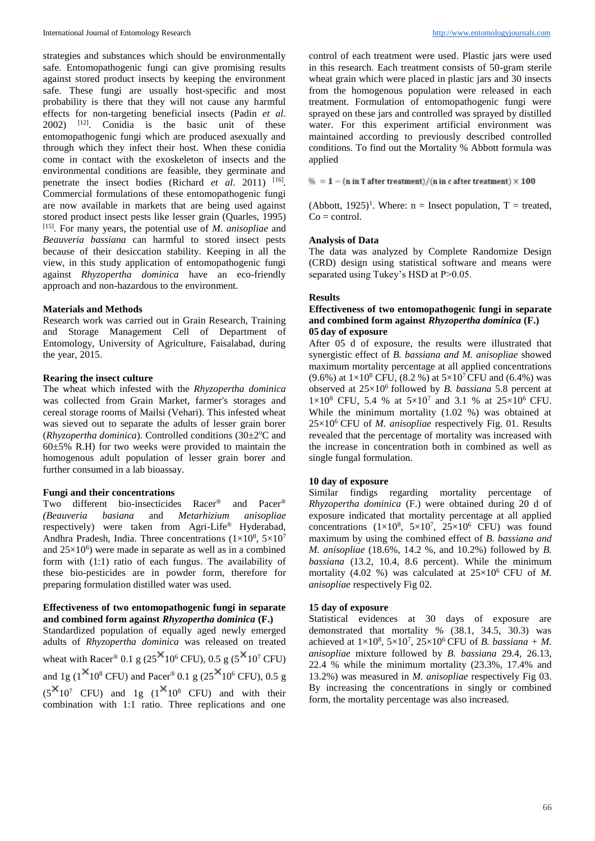strategies and substances which should be environmentally safe. Entomopathogenic fungi can give promising results against stored product insects by keeping the environment safe. These fungi are usually host-specific and most probability is there that they will not cause any harmful effects for non-targeting beneficial insects (Padin *et al*.  $2002$ ) <sup>[12]</sup>. Conidia is the basic unit of these entomopathogenic fungi which are produced asexually and through which they infect their host. When these conidia come in contact with the exoskeleton of insects and the environmental conditions are feasible, they germinate and penetrate the insect bodies (Richard *et al.* 2011) <sup>[16]</sup>. Commercial formulations of these entomopathogenic fungi are now available in markets that are being used against stored product insect pests like lesser grain (Quarles, 1995) [15] . For many years, the potential use of *M*. *anisopliae* and *Beauveria bassiana* can harmful to stored insect pests because of their desiccation stability. Keeping in all the view, in this study application of entomopathogenic fungi against *Rhyzopertha dominica* have an eco-friendly approach and non-hazardous to the environment.

#### **Materials and Methods**

Research work was carried out in Grain Research, Training and Storage Management Cell of Department of Entomology, University of Agriculture, Faisalabad, during the year, 2015.

#### **Rearing the insect culture**

The wheat which infested with the *Rhyzopertha dominica* was collected from Grain Market, farmer's storages and cereal storage rooms of Mailsi (Vehari). This infested wheat was sieved out to separate the adults of lesser grain borer ( $Rhvzopertha$  *dominica*). Controlled conditions ( $30\pm2$ <sup>o</sup>C and  $60±5%$  R.H) for two weeks were provided to maintain the homogenous adult population of lesser grain borer and further consumed in a lab bioassay.

#### **Fungi and their concentrations**

Two different bio-insecticides Racer® and Pacer® *(Beauveria basiana* and *Metarhizium anisopliae*  respectively) were taken from Agri-Life® Hyderabad, Andhra Pradesh, India. Three concentrations  $(1 \times 10^8, 5 \times 10^7)$ and  $25\times10^{6}$ ) were made in separate as well as in a combined form with (1:1) ratio of each fungus. The availability of these bio-pesticides are in powder form, therefore for preparing formulation distilled water was used.

#### **Effectiveness of two entomopathogenic fungi in separate and combined form against** *Rhyzopertha dominica* **(F.)**

Standardized population of equally aged newly emerged adults of *Rhyzopertha dominica* was released on treated wheat with Racer® 0.1 g ( $25^{\text{X}}10^6$  CFU), 0.5 g ( $5^{\text{X}}10^7$  CFU) and 1g ( $1 \times 10^8$  CFU) and Pacer<sup>®</sup> 0.1 g ( $25 \times 10^6$  CFU), 0.5 g  $(5^{x}10^{7}$  CFU) and 1g  $(1^{x}10^{8}$  CFU) and with their combination with 1:1 ratio. Three replications and one

control of each treatment were used. Plastic jars were used in this research. Each treatment consists of 50-gram sterile wheat grain which were placed in plastic jars and 30 insects from the homogenous population were released in each treatment. Formulation of entomopathogenic fungi were sprayed on these jars and controlled was sprayed by distilled water. For this experiment artificial environment was maintained according to previously described controlled conditions. To find out the Mortality % Abbott formula was applied

 $\% = 1 - (n in T after treatment)/(n in c after treatment) \times 100$ 

(Abbott, 1925)<sup>1</sup>. Where:  $n =$  Insect population,  $T =$  treated,  $Co = control$ .

#### **Analysis of Data**

The data was analyzed by Complete Randomize Design (CRD) design using statistical software and means were separated using Tukey's HSD at P>0.05.

#### **Results**

#### **Effectiveness of two entomopathogenic fungi in separate and combined form against** *Rhyzopertha dominica* **(F.) 05 day of exposure**

After 05 d of exposure, the results were illustrated that synergistic effect of *B. bassiana and M. anisopliae* showed maximum mortality percentage at all applied concentrations (9.6%) at  $1\times10^8$  CFU, (8.2 %) at  $5\times10^7$  CFU and (6.4%) was observed at  $25\times10^6$  followed by *B. bassiana* 5.8 percent at  $1 \times 10^8$  CFU, 5.4 % at  $5 \times 10^7$  and 3.1 % at  $25 \times 10^6$  CFU. While the minimum mortality (1.02 %) was obtained at 25×10<sup>6</sup> CFU of *M. anisopliae* respectively Fig. 01. Results revealed that the percentage of mortality was increased with the increase in concentration both in combined as well as single fungal formulation.

#### **10 day of exposure**

Similar findigs regarding mortality percentage of *Rhyzopertha dominica* (F.) were obtained during 20 d of exposure indicated that mortality percentage at all applied concentrations  $(1 \times 10^8, 5 \times 10^7, 25 \times 10^6$  CFU) was found maximum by using the combined effect of *B. bassiana and M. anisopliae* (18.6%, 14.2 %, and 10.2%) followed by *B. bassiana* (13.2, 10.4, 8.6 percent). While the minimum mortality (4.02 %) was calculated at  $25 \times 10^6$  CFU of *M*. *anisopliae* respectively Fig 02.

#### **15 day of exposure**

Statistical evidences at 30 days of exposure are demonstrated that mortality % (38.1, 34.5, 30.3) was achieved at  $1 \times 10^8$ ,  $5 \times 10^7$ ,  $25 \times 10^6$  CFU of *B. bassiana + M. anisopliae* mixture followed by *B. bassiana* 29.4, 26.13, 22.4 % while the minimum mortality (23.3%, 17.4% and 13.2%) was measured in *M. anisopliae* respectively Fig 03. By increasing the concentrations in singly or combined form, the mortality percentage was also increased.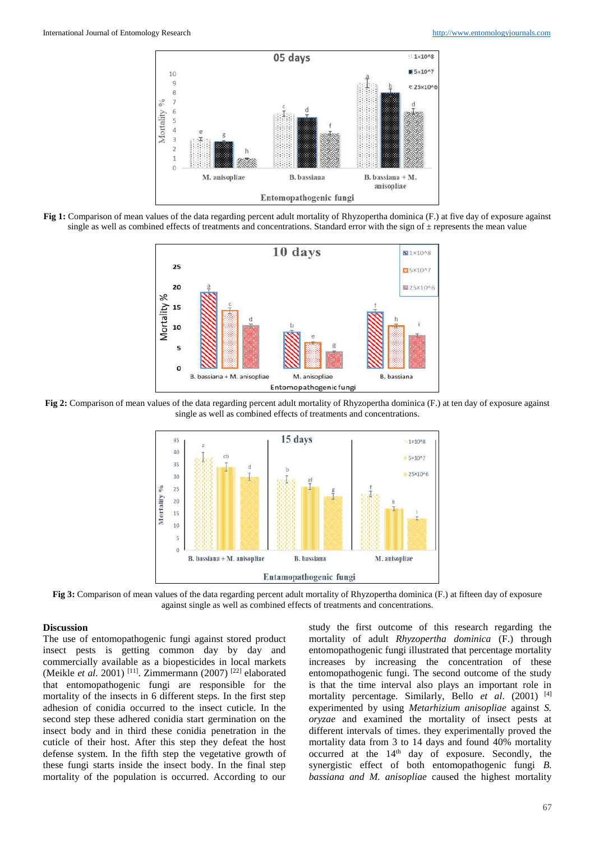

**Fig 1:** Comparison of mean values of the data regarding percent adult mortality of Rhyzopertha dominica (F.) at five day of exposure against single as well as combined effects of treatments and concentrations. Standard error with the sign of  $\pm$  represents the mean value



**Fig 2:** Comparison of mean values of the data regarding percent adult mortality of Rhyzopertha dominica (F.) at ten day of exposure against single as well as combined effects of treatments and concentrations.



**Fig 3:** Comparison of mean values of the data regarding percent adult mortality of Rhyzopertha dominica (F.) at fifteen day of exposure against single as well as combined effects of treatments and concentrations.

### **Discussion**

The use of entomopathogenic fungi against stored product insect pests is getting common day by day and commercially available as a biopesticides in local markets (Meikle *et al.* 2001)<sup>[11]</sup>. Zimmermann (2007)<sup>[22]</sup> elaborated that entomopathogenic fungi are responsible for the mortality of the insects in 6 different steps. In the first step adhesion of conidia occurred to the insect cuticle. In the second step these adhered conidia start germination on the insect body and in third these conidia penetration in the cuticle of their host. After this step they defeat the host defense system. In the fifth step the vegetative growth of these fungi starts inside the insect body. In the final step mortality of the population is occurred. According to our

study the first outcome of this research regarding the mortality of adult *Rhyzopertha dominica* (F.) through entomopathogenic fungi illustrated that percentage mortality increases by increasing the concentration of these entomopathogenic fungi. The second outcome of the study is that the time interval also plays an important role in mortality percentage. Similarly, Bello *et al*. (2001) [4] experimented by using *Metarhizium anisopliae* against *S. oryzae* and examined the mortality of insect pests at different intervals of times. they experimentally proved the mortality data from 3 to 14 days and found 40% mortality occurred at the 14<sup>th</sup> day of exposure. Secondly, the synergistic effect of both entomopathogenic fungi *B. bassiana and M. anisopliae* caused the highest mortality